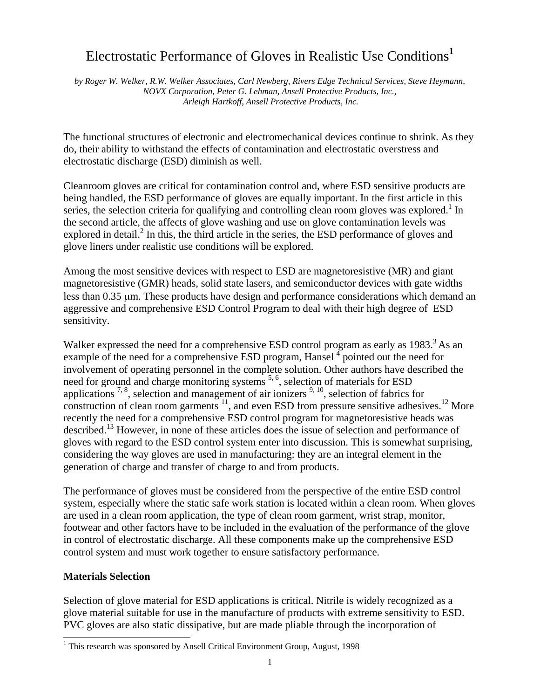# Electrostatic Performance of Gloves in Realistic Use Conditions**<sup>1</sup>**

*by Roger W. Welker, R.W. Welker Associates, Carl Newberg, Rivers Edge Technical Services, Steve Heymann, NOVX Corporation, Peter G. Lehman, Ansell Protective Products, Inc., Arleigh Hartkoff, Ansell Protective Products, Inc.* 

The functional structures of electronic and electromechanical devices continue to shrink. As they do, their ability to withstand the effects of contamination and electrostatic overstress and electrostatic discharge (ESD) diminish as well.

Cleanroom gloves are critical for contamination control and, where ESD sensitive products are being handled, the ESD performance of gloves are equally important. In the first article in this series, the selection criteria for qualifying and controlling clean room gloves was explored.<sup>1</sup> In the second article, the affects of glove washing and use on glove contamination levels was explored in detail.<sup>2</sup> In this, the third article in the series, the ESD performance of gloves and glove liners under realistic use conditions will be explored.

Among the most sensitive devices with respect to ESD are magnetoresistive (MR) and giant magnetoresistive (GMR) heads, solid state lasers, and semiconductor devices with gate widths less than 0.35 µm. These products have design and performance considerations which demand an aggressive and comprehensive ESD Control Program to deal with their high degree of ESD sensitivity.

Walker expressed the need for a comprehensive ESD control program as early as 1983.<sup>3</sup> As an example of the need for a comprehensive ESD program, Hansel  $\frac{4}{3}$  pointed out the need for involvement of operating personnel in the complete solution. Other authors have described the need for ground and charge monitoring systems <sup>5, 6</sup>, selection of materials for ESD applications  $7, 8$ , selection and management of air ionizers  $9, 10$ , selection of fabrics for construction of clean room garments  $11$ , and even ESD from pressure sensitive adhesives.<sup>12</sup> More recently the need for a comprehensive ESD control program for magnetoresistive heads was described.<sup>13</sup> However, in none of these articles does the issue of selection and performance of gloves with regard to the ESD control system enter into discussion. This is somewhat surprising, considering the way gloves are used in manufacturing: they are an integral element in the generation of charge and transfer of charge to and from products.

The performance of gloves must be considered from the perspective of the entire ESD control system, especially where the static safe work station is located within a clean room. When gloves are used in a clean room application, the type of clean room garment, wrist strap, monitor, footwear and other factors have to be included in the evaluation of the performance of the glove in control of electrostatic discharge. All these components make up the comprehensive ESD control system and must work together to ensure satisfactory performance.

### **Materials Selection**

 $\overline{a}$ 

Selection of glove material for ESD applications is critical. Nitrile is widely recognized as a glove material suitable for use in the manufacture of products with extreme sensitivity to ESD. PVC gloves are also static dissipative, but are made pliable through the incorporation of

<sup>&</sup>lt;sup>1</sup> This research was sponsored by Ansell Critical Environment Group, August, 1998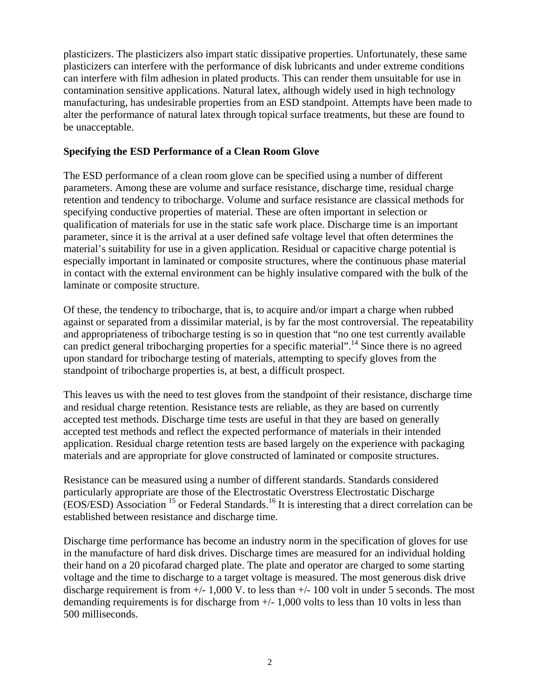plasticizers. The plasticizers also impart static dissipative properties. Unfortunately, these same plasticizers can interfere with the performance of disk lubricants and under extreme conditions can interfere with film adhesion in plated products. This can render them unsuitable for use in contamination sensitive applications. Natural latex, although widely used in high technology manufacturing, has undesirable properties from an ESD standpoint. Attempts have been made to alter the performance of natural latex through topical surface treatments, but these are found to be unacceptable.

### **Specifying the ESD Performance of a Clean Room Glove**

The ESD performance of a clean room glove can be specified using a number of different parameters. Among these are volume and surface resistance, discharge time, residual charge retention and tendency to tribocharge. Volume and surface resistance are classical methods for specifying conductive properties of material. These are often important in selection or qualification of materials for use in the static safe work place. Discharge time is an important parameter, since it is the arrival at a user defined safe voltage level that often determines the material's suitability for use in a given application. Residual or capacitive charge potential is especially important in laminated or composite structures, where the continuous phase material in contact with the external environment can be highly insulative compared with the bulk of the laminate or composite structure.

Of these, the tendency to tribocharge, that is, to acquire and/or impart a charge when rubbed against or separated from a dissimilar material, is by far the most controversial. The repeatability and appropriateness of tribocharge testing is so in question that "no one test currently available can predict general tribocharging properties for a specific material".<sup>14</sup> Since there is no agreed upon standard for tribocharge testing of materials, attempting to specify gloves from the standpoint of tribocharge properties is, at best, a difficult prospect.

This leaves us with the need to test gloves from the standpoint of their resistance, discharge time and residual charge retention. Resistance tests are reliable, as they are based on currently accepted test methods. Discharge time tests are useful in that they are based on generally accepted test methods and reflect the expected performance of materials in their intended application. Residual charge retention tests are based largely on the experience with packaging materials and are appropriate for glove constructed of laminated or composite structures.

Resistance can be measured using a number of different standards. Standards considered particularly appropriate are those of the Electrostatic Overstress Electrostatic Discharge  $(EOS/ESD)$  Association  $^{15}$  or Federal Standards.<sup>16</sup> It is interesting that a direct correlation can be established between resistance and discharge time.

Discharge time performance has become an industry norm in the specification of gloves for use in the manufacture of hard disk drives. Discharge times are measured for an individual holding their hand on a 20 picofarad charged plate. The plate and operator are charged to some starting voltage and the time to discharge to a target voltage is measured. The most generous disk drive discharge requirement is from +/- 1,000 V. to less than +/- 100 volt in under 5 seconds. The most demanding requirements is for discharge from +/- 1,000 volts to less than 10 volts in less than 500 milliseconds.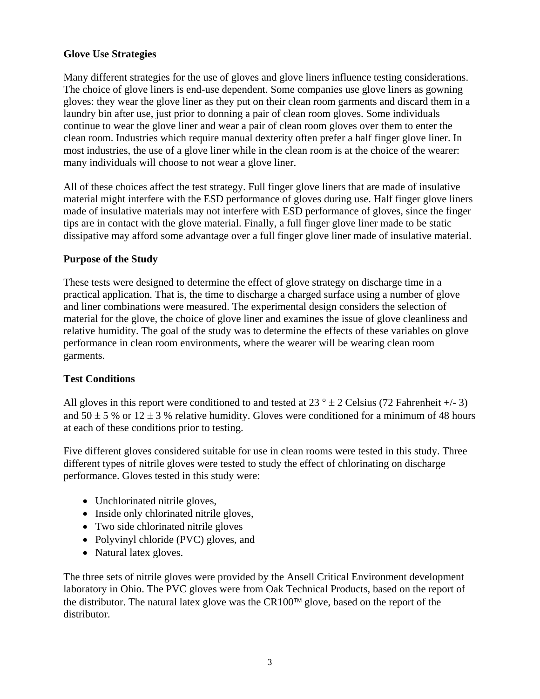### **Glove Use Strategies**

Many different strategies for the use of gloves and glove liners influence testing considerations. The choice of glove liners is end-use dependent. Some companies use glove liners as gowning gloves: they wear the glove liner as they put on their clean room garments and discard them in a laundry bin after use, just prior to donning a pair of clean room gloves. Some individuals continue to wear the glove liner and wear a pair of clean room gloves over them to enter the clean room. Industries which require manual dexterity often prefer a half finger glove liner. In most industries, the use of a glove liner while in the clean room is at the choice of the wearer: many individuals will choose to not wear a glove liner.

All of these choices affect the test strategy. Full finger glove liners that are made of insulative material might interfere with the ESD performance of gloves during use. Half finger glove liners made of insulative materials may not interfere with ESD performance of gloves, since the finger tips are in contact with the glove material. Finally, a full finger glove liner made to be static dissipative may afford some advantage over a full finger glove liner made of insulative material.

### **Purpose of the Study**

These tests were designed to determine the effect of glove strategy on discharge time in a practical application. That is, the time to discharge a charged surface using a number of glove and liner combinations were measured. The experimental design considers the selection of material for the glove, the choice of glove liner and examines the issue of glove cleanliness and relative humidity. The goal of the study was to determine the effects of these variables on glove performance in clean room environments, where the wearer will be wearing clean room garments.

### **Test Conditions**

All gloves in this report were conditioned to and tested at  $23^\circ \pm 2$  Celsius (72 Fahrenheit +/- 3) and  $50 \pm 5$  % or  $12 \pm 3$  % relative humidity. Gloves were conditioned for a minimum of 48 hours at each of these conditions prior to testing.

Five different gloves considered suitable for use in clean rooms were tested in this study. Three different types of nitrile gloves were tested to study the effect of chlorinating on discharge performance. Gloves tested in this study were:

- Unchlorinated nitrile gloves,
- Inside only chlorinated nitrile gloves,
- Two side chlorinated nitrile gloves
- Polyvinyl chloride (PVC) gloves, and
- Natural latex gloves.

The three sets of nitrile gloves were provided by the Ansell Critical Environment development laboratory in Ohio. The PVC gloves were from Oak Technical Products, based on the report of the distributor. The natural latex glove was the  $CR100<sup>TM</sup>$  glove, based on the report of the distributor.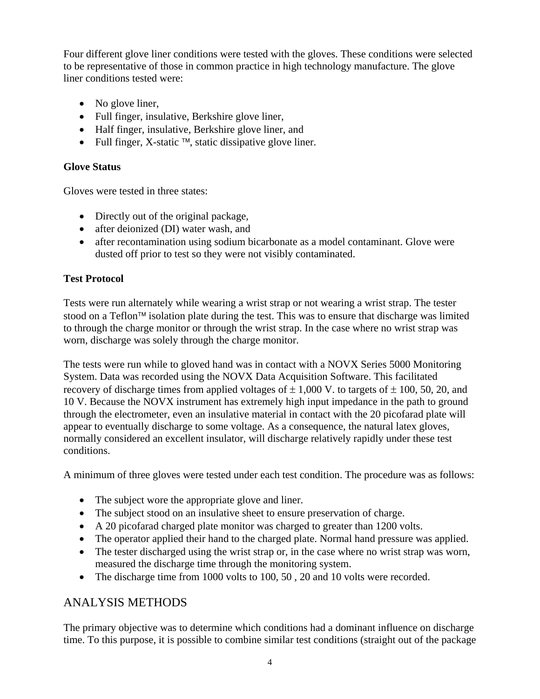Four different glove liner conditions were tested with the gloves. These conditions were selected to be representative of those in common practice in high technology manufacture. The glove liner conditions tested were:

- No glove liner,
- Full finger, insulative, Berkshire glove liner,
- Half finger, insulative, Berkshire glove liner, and
- Full finger, X-static  $TM$ , static dissipative glove liner.

### **Glove Status**

Gloves were tested in three states:

- Directly out of the original package,
- after deionized (DI) water wash, and
- after recontamination using sodium bicarbonate as a model contaminant. Glove were dusted off prior to test so they were not visibly contaminated.

### **Test Protocol**

Tests were run alternately while wearing a wrist strap or not wearing a wrist strap. The tester stood on a Teflon<sup> $\text{TM}$ </sup> isolation plate during the test. This was to ensure that discharge was limited to through the charge monitor or through the wrist strap. In the case where no wrist strap was worn, discharge was solely through the charge monitor.

The tests were run while to gloved hand was in contact with a NOVX Series 5000 Monitoring System. Data was recorded using the NOVX Data Acquisition Software. This facilitated recovery of discharge times from applied voltages of  $\pm$  1,000 V. to targets of  $\pm$  100, 50, 20, and 10 V. Because the NOVX instrument has extremely high input impedance in the path to ground through the electrometer, even an insulative material in contact with the 20 picofarad plate will appear to eventually discharge to some voltage. As a consequence, the natural latex gloves, normally considered an excellent insulator, will discharge relatively rapidly under these test conditions.

A minimum of three gloves were tested under each test condition. The procedure was as follows:

- The subject wore the appropriate glove and liner.
- The subject stood on an insulative sheet to ensure preservation of charge.
- A 20 picofarad charged plate monitor was charged to greater than 1200 volts.
- The operator applied their hand to the charged plate. Normal hand pressure was applied.
- The tester discharged using the wrist strap or, in the case where no wrist strap was worn, measured the discharge time through the monitoring system.
- The discharge time from 1000 volts to 100, 50, 20 and 10 volts were recorded.

# ANALYSIS METHODS

The primary objective was to determine which conditions had a dominant influence on discharge time. To this purpose, it is possible to combine similar test conditions (straight out of the package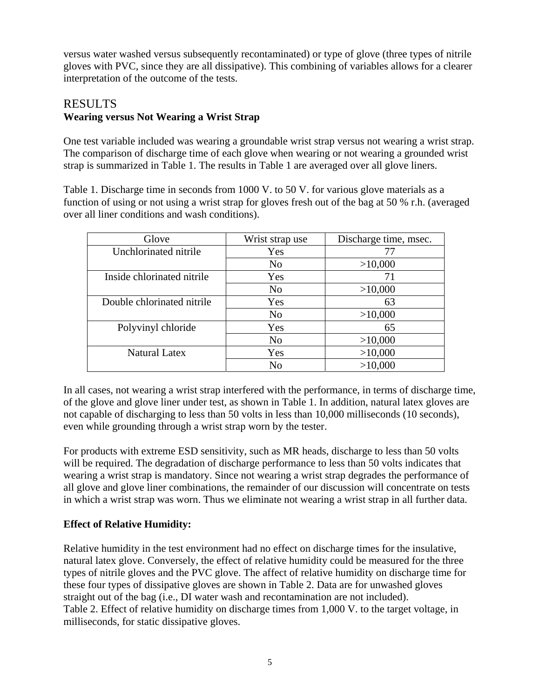versus water washed versus subsequently recontaminated) or type of glove (three types of nitrile gloves with PVC, since they are all dissipative). This combining of variables allows for a clearer interpretation of the outcome of the tests.

# RESULTS **Wearing versus Not Wearing a Wrist Strap**

One test variable included was wearing a groundable wrist strap versus not wearing a wrist strap. The comparison of discharge time of each glove when wearing or not wearing a grounded wrist strap is summarized in Table 1. The results in Table 1 are averaged over all glove liners.

Table 1. Discharge time in seconds from 1000 V. to 50 V. for various glove materials as a function of using or not using a wrist strap for gloves fresh out of the bag at 50 % r.h. (averaged over all liner conditions and wash conditions).

| Glove                      | Wrist strap use | Discharge time, msec. |
|----------------------------|-----------------|-----------------------|
| Unchlorinated nitrile      | Yes             | 77                    |
|                            | N <sub>0</sub>  | >10,000               |
| Inside chlorinated nitrile | Yes             | 71                    |
|                            | N <sub>o</sub>  | >10,000               |
| Double chlorinated nitrile | Yes             | 63                    |
|                            | N <sub>o</sub>  | >10,000               |
| Polyvinyl chloride         | Yes             | 65                    |
|                            | N <sub>o</sub>  | >10,000               |
| <b>Natural Latex</b>       | Yes             | >10,000               |
|                            | No              | >10,000               |

In all cases, not wearing a wrist strap interfered with the performance, in terms of discharge time, of the glove and glove liner under test, as shown in Table 1. In addition, natural latex gloves are not capable of discharging to less than 50 volts in less than 10,000 milliseconds (10 seconds), even while grounding through a wrist strap worn by the tester.

For products with extreme ESD sensitivity, such as MR heads, discharge to less than 50 volts will be required. The degradation of discharge performance to less than 50 volts indicates that wearing a wrist strap is mandatory. Since not wearing a wrist strap degrades the performance of all glove and glove liner combinations, the remainder of our discussion will concentrate on tests in which a wrist strap was worn. Thus we eliminate not wearing a wrist strap in all further data.

### **Effect of Relative Humidity:**

Relative humidity in the test environment had no effect on discharge times for the insulative, natural latex glove. Conversely, the effect of relative humidity could be measured for the three types of nitrile gloves and the PVC glove. The affect of relative humidity on discharge time for these four types of dissipative gloves are shown in Table 2. Data are for unwashed gloves straight out of the bag (i.e., DI water wash and recontamination are not included). Table 2. Effect of relative humidity on discharge times from 1,000 V. to the target voltage, in milliseconds, for static dissipative gloves.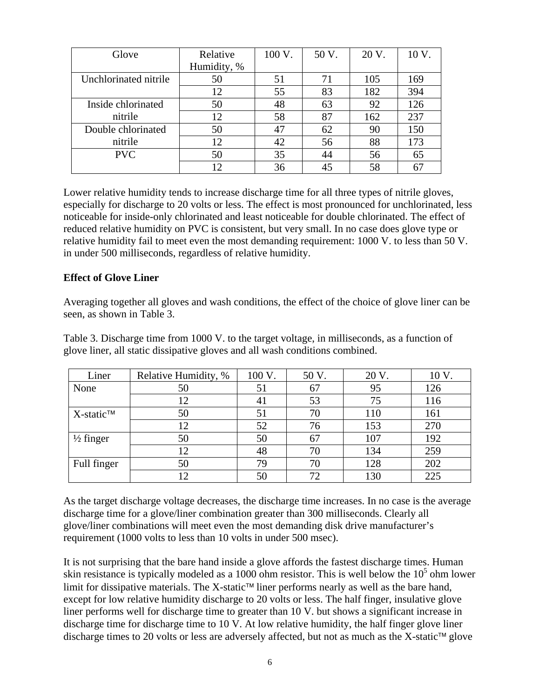| Glove                 | Relative    | 100 V. | 50 V. | 20 V. | 10 V. |
|-----------------------|-------------|--------|-------|-------|-------|
|                       | Humidity, % |        |       |       |       |
| Unchlorinated nitrile | 50          | 51     | 71    | 105   | 169   |
|                       | 12          | 55     | 83    | 182   | 394   |
| Inside chlorinated    | 50          | 48     | 63    | 92    | 126   |
| nitrile               | 12          | 58     | 87    | 162   | 237   |
| Double chlorinated    | 50          | 47     | 62    | 90    | 150   |
| nitrile               | 12          | 42     | 56    | 88    | 173   |
| <b>PVC</b>            | 50          | 35     | 44    | 56    | 65    |
|                       | 12.         | 36     | 45    | 58    | 67    |

Lower relative humidity tends to increase discharge time for all three types of nitrile gloves, especially for discharge to 20 volts or less. The effect is most pronounced for unchlorinated, less noticeable for inside-only chlorinated and least noticeable for double chlorinated. The effect of reduced relative humidity on PVC is consistent, but very small. In no case does glove type or relative humidity fail to meet even the most demanding requirement: 1000 V. to less than 50 V. in under 500 milliseconds, regardless of relative humidity.

### **Effect of Glove Liner**

Averaging together all gloves and wash conditions, the effect of the choice of glove liner can be seen, as shown in Table 3.

Table 3. Discharge time from 1000 V. to the target voltage, in milliseconds, as a function of glove liner, all static dissipative gloves and all wash conditions combined.

| Liner                     | Relative Humidity, % | 100 V. | 50 V. | 20 V. | 10 <sub>V</sub> |
|---------------------------|----------------------|--------|-------|-------|-----------------|
| None                      | 50                   | 51     | 67    | 95    | 126             |
|                           | 12                   | 41     | 53    | 75    | 116             |
| $X$ -static <sup>TM</sup> | 50                   | 51     | 70    | 110   | 161             |
|                           | 12                   | 52     | 76    | 153   | 270             |
| $\frac{1}{2}$ finger      | 50                   | 50     | 67    | 107   | 192             |
|                           | 12                   | 48     | 70    | 134   | 259             |
| Full finger               | 50                   | 79     | 70    | 128   | 202             |
|                           | 12.                  | 50     | 72    | 130   | 225             |

As the target discharge voltage decreases, the discharge time increases. In no case is the average discharge time for a glove/liner combination greater than 300 milliseconds. Clearly all glove/liner combinations will meet even the most demanding disk drive manufacturer's requirement (1000 volts to less than 10 volts in under 500 msec).

It is not surprising that the bare hand inside a glove affords the fastest discharge times. Human skin resistance is typically modeled as a 1000 ohm resistor. This is well below the  $10<sup>5</sup>$  ohm lower limit for dissipative materials. The X-static<sup> $tau$ </sup> liner performs nearly as well as the bare hand, except for low relative humidity discharge to 20 volts or less. The half finger, insulative glove liner performs well for discharge time to greater than 10 V. but shows a significant increase in discharge time for discharge time to 10 V. At low relative humidity, the half finger glove liner discharge times to 20 volts or less are adversely affected, but not as much as the X-static<sup> $M$ </sup> glove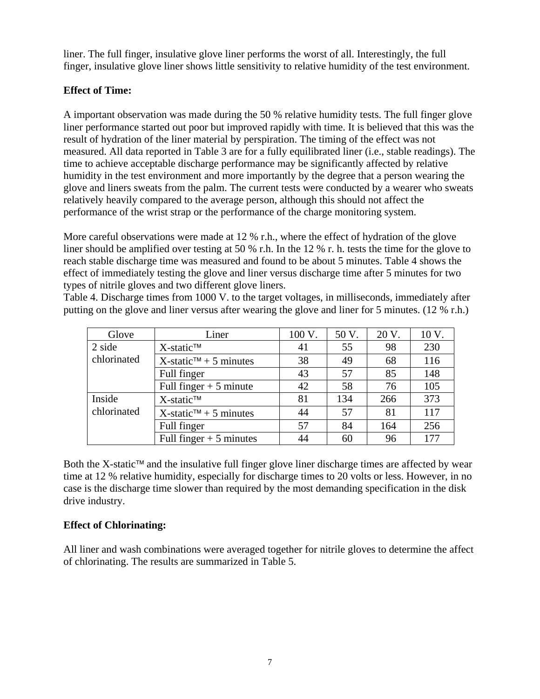liner. The full finger, insulative glove liner performs the worst of all. Interestingly, the full finger, insulative glove liner shows little sensitivity to relative humidity of the test environment.

## **Effect of Time:**

A important observation was made during the 50 % relative humidity tests. The full finger glove liner performance started out poor but improved rapidly with time. It is believed that this was the result of hydration of the liner material by perspiration. The timing of the effect was not measured. All data reported in Table 3 are for a fully equilibrated liner (i.e., stable readings). The time to achieve acceptable discharge performance may be significantly affected by relative humidity in the test environment and more importantly by the degree that a person wearing the glove and liners sweats from the palm. The current tests were conducted by a wearer who sweats relatively heavily compared to the average person, although this should not affect the performance of the wrist strap or the performance of the charge monitoring system.

More careful observations were made at 12 % r.h., where the effect of hydration of the glove liner should be amplified over testing at 50 % r.h. In the 12 % r. h. tests the time for the glove to reach stable discharge time was measured and found to be about 5 minutes. Table 4 shows the effect of immediately testing the glove and liner versus discharge time after 5 minutes for two types of nitrile gloves and two different glove liners.

Table 4. Discharge times from 1000 V. to the target voltages, in milliseconds, immediately after putting on the glove and liner versus after wearing the glove and liner for 5 minutes. (12 % r.h.)

| Glove       | Liner                                                 | 100 V. | 50 V. | 20 V. | 10 V. |
|-------------|-------------------------------------------------------|--------|-------|-------|-------|
| 2 side      | $X$ -static <sup>TM</sup>                             | 41     | 55    | 98    | 230   |
| chlorinated | $X$ -static <sup><math>\tau</math>M</sup> + 5 minutes | 38     | 49    | 68    | 116   |
|             | Full finger                                           | 43     | 57    | 85    | 148   |
|             | Full finger $+5$ minute                               | 42     | 58    | 76    | 105   |
| Inside      | $X$ -static <sup>TM</sup>                             | 81     | 134   | 266   | 373   |
| chlorinated | $X$ -static <sup><math>\tau</math>M</sup> + 5 minutes | 44     | 57    | 81    | 117   |
|             | Full finger                                           | 57     | 84    | 164   | 256   |
|             | Full finger $+5$ minutes                              | 44     | 60    | 96    | 177   |

Both the X-static<sup> $\pi$ </sup> and the insulative full finger glove liner discharge times are affected by wear time at 12 % relative humidity, especially for discharge times to 20 volts or less. However, in no case is the discharge time slower than required by the most demanding specification in the disk drive industry.

### **Effect of Chlorinating:**

All liner and wash combinations were averaged together for nitrile gloves to determine the affect of chlorinating. The results are summarized in Table 5.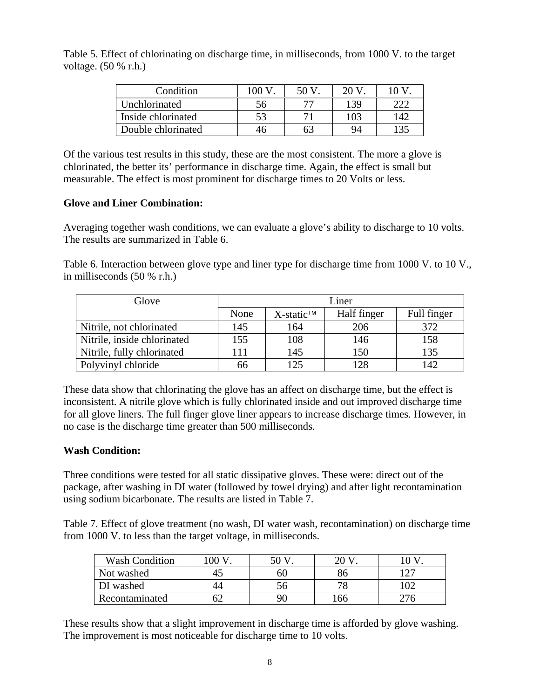Table 5. Effect of chlorinating on discharge time, in milliseconds, from 1000 V. to the target voltage. (50 % r.h.)

| Condition          | ന  | 50 V | 20 V |     |
|--------------------|----|------|------|-----|
| Unchlorinated      | эh |      | 139  |     |
| Inside chlorinated |    |      | 103  | 142 |
| Double chlorinated |    |      | 94   |     |

Of the various test results in this study, these are the most consistent. The more a glove is chlorinated, the better its' performance in discharge time. Again, the effect is small but measurable. The effect is most prominent for discharge times to 20 Volts or less.

### **Glove and Liner Combination:**

Averaging together wash conditions, we can evaluate a glove's ability to discharge to 10 volts. The results are summarized in Table 6.

Table 6. Interaction between glove type and liner type for discharge time from 1000 V. to 10 V., in milliseconds (50 % r.h.)

| Glove                       | Liner |                           |             |             |
|-----------------------------|-------|---------------------------|-------------|-------------|
|                             | None  | $X$ -static <sup>TM</sup> | Half finger | Full finger |
| Nitrile, not chlorinated    | 145   | 164                       | 206         | 372         |
| Nitrile, inside chlorinated | 155   | 108                       | 146         | 158         |
| Nitrile, fully chlorinated  | 111   | 145                       | 150         | 135         |
| Polyvinyl chloride          | 66    | 125                       | 128         | 142         |

These data show that chlorinating the glove has an affect on discharge time, but the effect is inconsistent. A nitrile glove which is fully chlorinated inside and out improved discharge time for all glove liners. The full finger glove liner appears to increase discharge times. However, in no case is the discharge time greater than 500 milliseconds.

### **Wash Condition:**

Three conditions were tested for all static dissipative gloves. These were: direct out of the package, after washing in DI water (followed by towel drying) and after light recontamination using sodium bicarbonate. The results are listed in Table 7.

Table 7. Effect of glove treatment (no wash, DI water wash, recontamination) on discharge time from 1000 V. to less than the target voltage, in milliseconds.

| <b>Wash Condition</b> | 100 V | 50 |     |       |
|-----------------------|-------|----|-----|-------|
| Not washed            |       | 60 |     | 1 2 7 |
| DI washed             | 44    | JО |     |       |
| Recontaminated        |       | 90 | .66 |       |

These results show that a slight improvement in discharge time is afforded by glove washing. The improvement is most noticeable for discharge time to 10 volts.